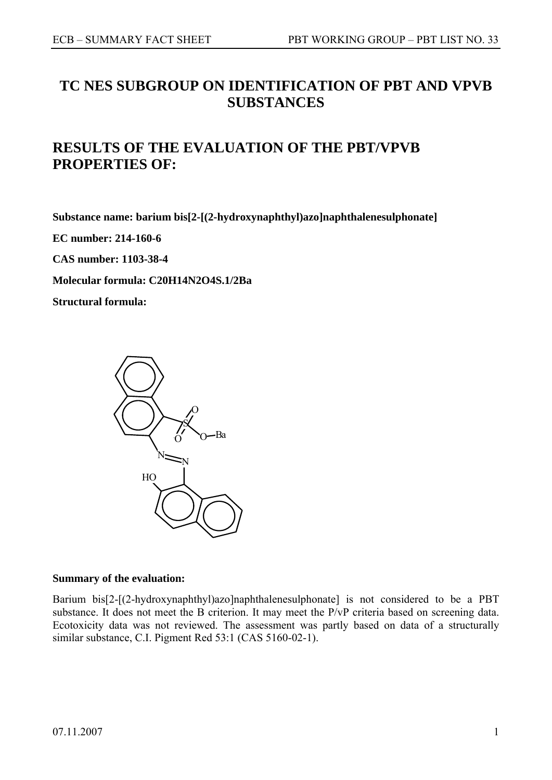# **TC NES SUBGROUP ON IDENTIFICATION OF PBT AND VPVB SUBSTANCES**

# **RESULTS OF THE EVALUATION OF THE PBT/VPVB PROPERTIES OF:**

**Substance name: barium bis[2-[(2-hydroxynaphthyl)azo]naphthalenesulphonate]** 

**EC number: 214-160-6** 

**CAS number: 1103-38-4**

**Molecular formula: C20H14N2O4S.1/2Ba** 

**Structural formula:** 



#### **Summary of the evaluation:**

Barium bis[2-[(2-hydroxynaphthyl)azo]naphthalenesulphonate] is not considered to be a PBT substance. It does not meet the B criterion. It may meet the P/vP criteria based on screening data. Ecotoxicity data was not reviewed. The assessment was partly based on data of a structurally similar substance, C.I. Pigment Red 53:1 (CAS 5160-02-1).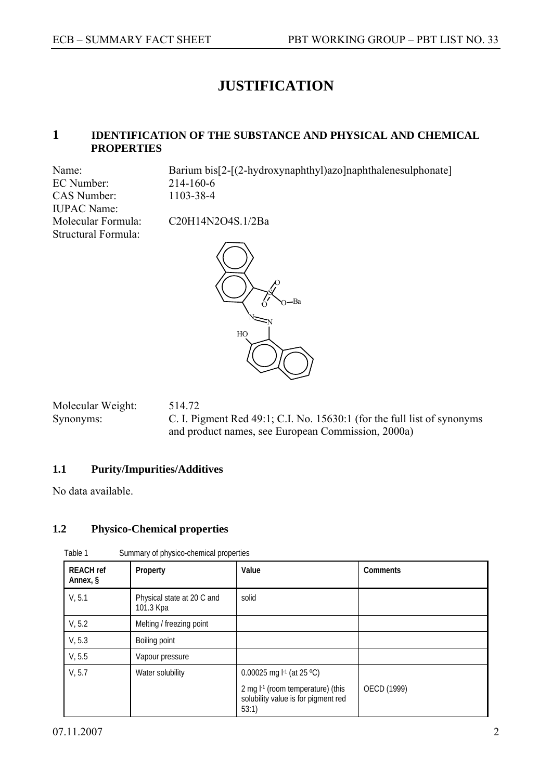# **JUSTIFICATION**

## **1 IDENTIFICATION OF THE SUBSTANCE AND PHYSICAL AND CHEMICAL PROPERTIES**

EC Number: 214-160-6 CAS Number: 1103-38-4 IUPAC Name: Structural Formula:

Name: Barium bis[2-[(2-hydroxynaphthyl)azo]naphthalenesulphonate]

Molecular Formula: C20H14N2O4S.1/2Ba



Molecular Weight: 514.72 Synonyms: C. I. Pigment Red 49:1; C.I. No. 15630:1 (for the full list of synonyms and product names, see European Commission, 2000a)

# **1.1 Purity/Impurities/Additives**

No data available.

## **1.2 Physico-Chemical properties**

| <b>REACH</b> ref<br>Annex, § | Property                                | Value                                                                               | Comments    |
|------------------------------|-----------------------------------------|-------------------------------------------------------------------------------------|-------------|
| V, 5.1                       | Physical state at 20 C and<br>101.3 Kpa | solid                                                                               |             |
| V, 5.2                       | Melting / freezing point                |                                                                                     |             |
| V, 5.3                       | Boiling point                           |                                                                                     |             |
| V, 5.5                       | Vapour pressure                         |                                                                                     |             |
| V, 5.7                       | Water solubility                        | 0.00025 mg $I-1$ (at 25 °C)                                                         |             |
|                              |                                         | 2 mg $I-1$ (room temperature) (this<br>solubility value is for pigment red<br>53:1) | OECD (1999) |

Table 1 Summary of physico-chemical properties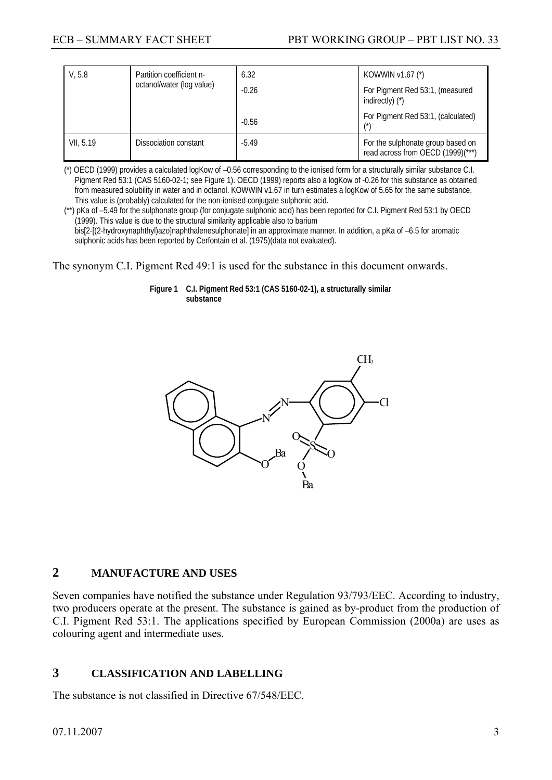| V, 5.8    | Partition coefficient n-<br>octanol/water (log value) | 6.32    | KOWWIN v1.67 (*)                                                       |
|-----------|-------------------------------------------------------|---------|------------------------------------------------------------------------|
|           |                                                       | $-0.26$ | For Pigment Red 53:1, (measured<br>indirectly) $(*)$                   |
|           |                                                       | $-0.56$ | For Pigment Red 53:1, (calculated)<br>$^{\prime\star}$                 |
| VII, 5.19 | Dissociation constant                                 | $-5.49$ | For the sulphonate group based on<br>read across from OECD (1999)(***) |

(\*) OECD (1999) provides a calculated logKow of –0.56 corresponding to the ionised form for a structurally similar substance C.I. Pigment Red 53:1 (CAS 5160-02-1; see Figure 1). OECD (1999) reports also a logKow of -0.26 for this substance as obtained from measured solubility in water and in octanol. KOWWIN v1.67 in turn estimates a logKow of 5.65 for the same substance. This value is (probably) calculated for the non-ionised conjugate sulphonic acid.

(\*\*) pKa of –5.49 for the sulphonate group (for conjugate sulphonic acid) has been reported for C.I. Pigment Red 53:1 by OECD (1999). This value is due to the structural similarity applicable also to barium bis[2-[(2-hydroxynaphthyl)azo]naphthalenesulphonate] in an approximate manner. In addition, a pKa of –6.5 for aromatic sulphonic acids has been reported by Cerfontain et al. (1975)(data not evaluated).

The synonym C.I. Pigment Red 49:1 is used for the substance in this document onwards.

**Figure 1 C.I. Pigment Red 53:1 (CAS 5160-02-1), a structurally similar substance** 



# **2 MANUFACTURE AND USES**

Seven companies have notified the substance under Regulation 93/793/EEC. According to industry, two producers operate at the present. The substance is gained as by-product from the production of C.I. Pigment Red 53:1. The applications specified by European Commission (2000a) are uses as colouring agent and intermediate uses.

# **3 CLASSIFICATION AND LABELLING**

The substance is not classified in Directive 67/548/EEC.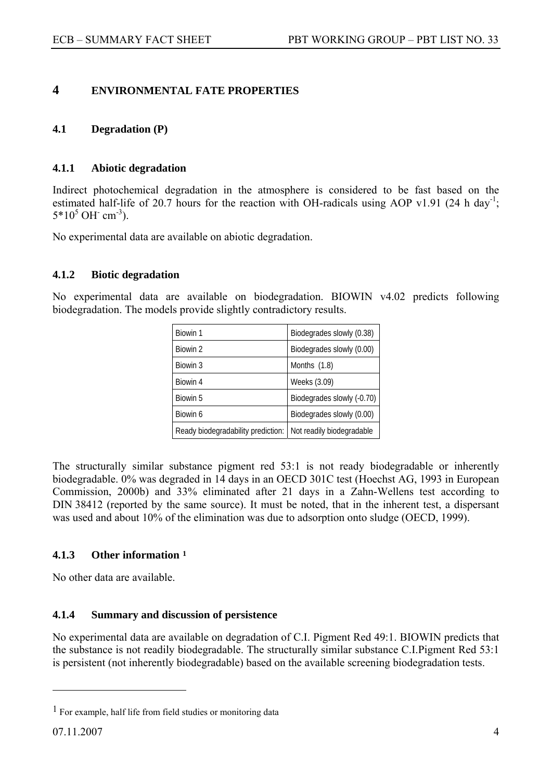# <span id="page-3-0"></span>**4 ENVIRONMENTAL FATE PROPERTIES**

### **4.1 Degradation (P)**

#### **4.1.1 Abiotic degradation**

Indirect photochemical degradation in the atmosphere is considered to be fast based on the estimated half-life of 20.7 hours for the reaction with OH-radicals using AOP v1.91 (24 h day<sup>-1</sup>;  $5*10^5$  OH cm<sup>-3</sup>).

No experimental data are available on abiotic degradation.

#### **4.1.2 Biotic degradation**

No experimental data are available on biodegradation. BIOWIN v4.02 predicts following biodegradation. The models provide slightly contradictory results.

| Biowin 1                           | Biodegrades slowly (0.38)  |
|------------------------------------|----------------------------|
| Biowin 2                           | Biodegrades slowly (0.00)  |
| Biowin 3                           | Months (1.8)               |
| Biowin 4                           | Weeks (3.09)               |
| Biowin 5                           | Biodegrades slowly (-0.70) |
| Biowin 6                           | Biodegrades slowly (0.00)  |
| Ready biodegradability prediction: | Not readily biodegradable  |

The structurally similar substance pigment red 53:1 is not ready biodegradable or inherently biodegradable. 0% was degraded in 14 days in an OECD 301C test (Hoechst AG, 1993 in European Commission, 2000b) and 33% eliminated after 21 days in a Zahn-Wellens test according to DIN 38412 (reported by the same source). It must be noted, that in the inherent test, a dispersant was used and about 10% of the elimination was due to adsorption onto sludge (OECD, 1999).

## **4.1.3 Other information [1](#page-3-0)**

No other data are available.

#### **4.1.4 Summary and discussion of persistence**

No experimental data are available on degradation of C.I. Pigment Red 49:1. BIOWIN predicts that the substance is not readily biodegradable. The structurally similar substance C.I.Pigment Red 53:1 is persistent (not inherently biodegradable) based on the available screening biodegradation tests.

 $\overline{a}$ 

<sup>1</sup> For example, half life from field studies or monitoring data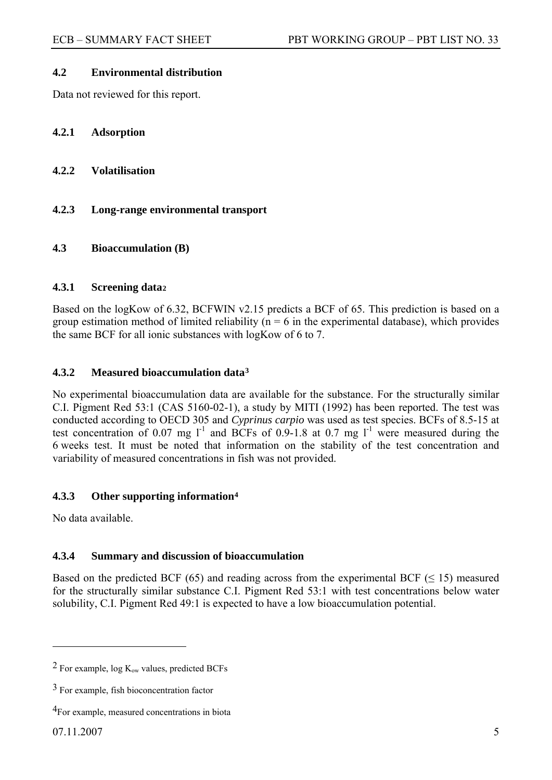#### <span id="page-4-0"></span>**4.2 Environmental distribution**

Data not reviewed for this report.

### **4.2.1 Adsorption**

- **4.2.2 Volatilisation**
- **4.2.3 Long-range environmental transport**

#### **4.3 Bioaccumulation (B)**

#### **4.3.1 Screening data[2](#page-4-0)**

Based on the logKow of 6.32, BCFWIN v2.15 predicts a BCF of 65. This prediction is based on a group estimation method of limited reliability ( $n = 6$  in the experimental database), which provides the same BCF for all ionic substances with logKow of 6 to 7.

## **4.3.2 Measured bioaccumulation data[3](#page-4-0)**

No experimental bioaccumulation data are available for the substance. For the structurally similar C.I. Pigment Red 53:1 (CAS 5160-02-1), a study by MITI (1992) has been reported. The test was conducted according to OECD 305 and *Cyprinus carpio* was used as test species. BCFs of 8.5-15 at test concentration of 0.07 mg  $1^1$  and BCFs of 0.9-1.8 at 0.7 mg  $1^1$  were measured during the 6 weeks test. It must be noted that information on the stability of the test concentration and variability of measured concentrations in fish was not provided.

## **4.3.3 Other supporting information[4](#page-4-0)**

No data available.

#### **4.3.4 Summary and discussion of bioaccumulation**

Based on the predicted BCF (65) and reading across from the experimental BCF ( $\leq$  15) measured for the structurally similar substance C.I. Pigment Red 53:1 with test concentrations below water solubility, C.I. Pigment Red 49:1 is expected to have a low bioaccumulation potential.

 $\overline{a}$ 

<sup>&</sup>lt;sup>2</sup> For example,  $log K<sub>ow</sub>$  values, predicted BCFs

<sup>3</sup> For example, fish bioconcentration factor

<sup>4</sup>For example, measured concentrations in biota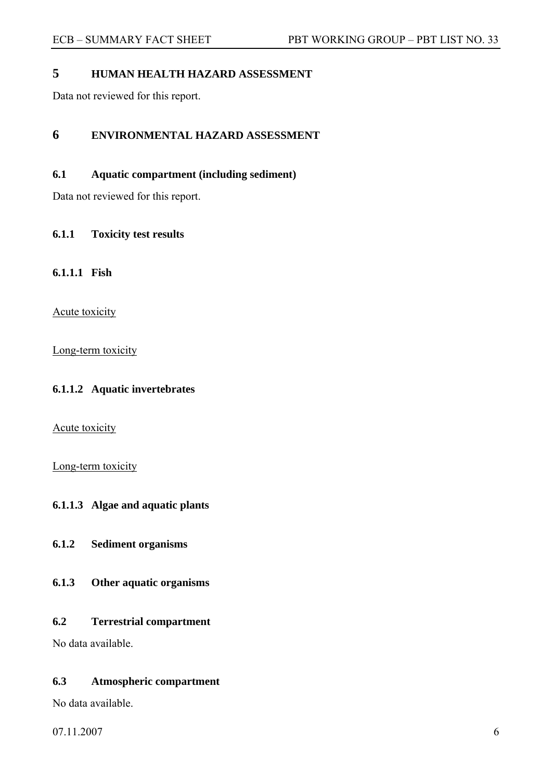# **5 HUMAN HEALTH HAZARD ASSESSMENT**

Data not reviewed for this report.

# **6 ENVIRONMENTAL HAZARD ASSESSMENT**

**6.1 Aquatic compartment (including sediment)** 

Data not reviewed for this report.

## **6.1.1 Toxicity test results**

**6.1.1.1 Fish** 

Acute toxicity

Long-term toxicity

## **6.1.1.2 Aquatic invertebrates**

Acute toxicity

Long-term toxicity

# **6.1.1.3 Algae and aquatic plants**

**6.1.2 Sediment organisms** 

**6.1.3 Other aquatic organisms** 

## **6.2 Terrestrial compartment**

No data available.

## **6.3 Atmospheric compartment**

No data available.

 $07.11.2007$  6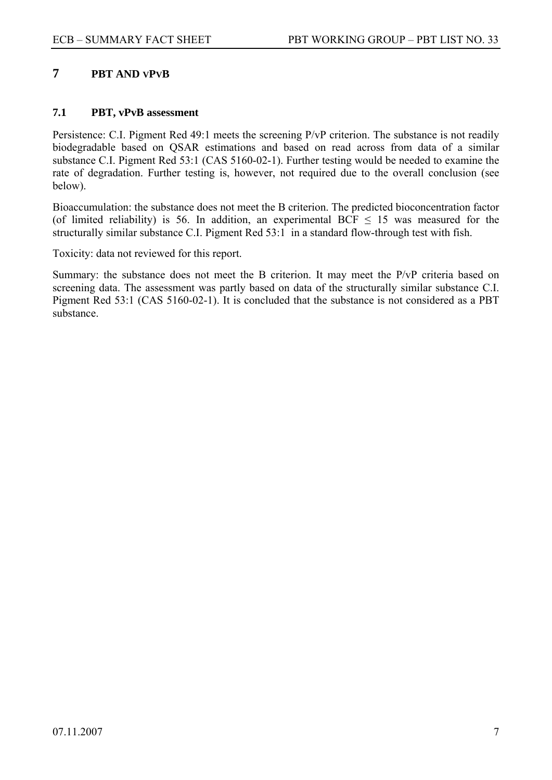# **7 PBT AND VPVB**

## **7.1 PBT, vPvB assessment**

Persistence: C.I. Pigment Red 49:1 meets the screening P/vP criterion. The substance is not readily biodegradable based on QSAR estimations and based on read across from data of a similar substance C.I. Pigment Red 53:1 (CAS 5160-02-1). Further testing would be needed to examine the rate of degradation. Further testing is, however, not required due to the overall conclusion (see below).

Bioaccumulation: the substance does not meet the B criterion. The predicted bioconcentration factor (of limited reliability) is 56. In addition, an experimental BCF  $\leq$  15 was measured for the structurally similar substance C.I. Pigment Red 53:1 in a standard flow-through test with fish.

Toxicity: data not reviewed for this report.

Summary: the substance does not meet the B criterion. It may meet the P/vP criteria based on screening data. The assessment was partly based on data of the structurally similar substance C.I. Pigment Red 53:1 (CAS 5160-02-1). It is concluded that the substance is not considered as a PBT substance.